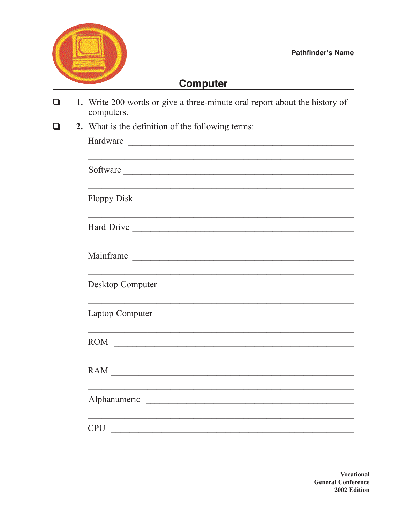

## **Computer**

| 1. Write 200 words or give a three-minute oral report about the history of<br>computers.                                                  |  |  |  |  |  |
|-------------------------------------------------------------------------------------------------------------------------------------------|--|--|--|--|--|
| 2. What is the definition of the following terms:                                                                                         |  |  |  |  |  |
|                                                                                                                                           |  |  |  |  |  |
|                                                                                                                                           |  |  |  |  |  |
|                                                                                                                                           |  |  |  |  |  |
|                                                                                                                                           |  |  |  |  |  |
|                                                                                                                                           |  |  |  |  |  |
| Mainframe                                                                                                                                 |  |  |  |  |  |
| <u> 1989 - Johann Stoff, deutscher Stoff, der Stoff, der Stoff, der Stoff, der Stoff, der Stoff, der Stoff, der S</u><br>Desktop Computer |  |  |  |  |  |
| Laptop Computer                                                                                                                           |  |  |  |  |  |
| ROM COMMERCIAL CONSTRUCTION                                                                                                               |  |  |  |  |  |
| RAM                                                                                                                                       |  |  |  |  |  |
| Alphanumeric                                                                                                                              |  |  |  |  |  |
| <b>CPU</b>                                                                                                                                |  |  |  |  |  |
|                                                                                                                                           |  |  |  |  |  |

**Vocational General Conference** 2002 Edition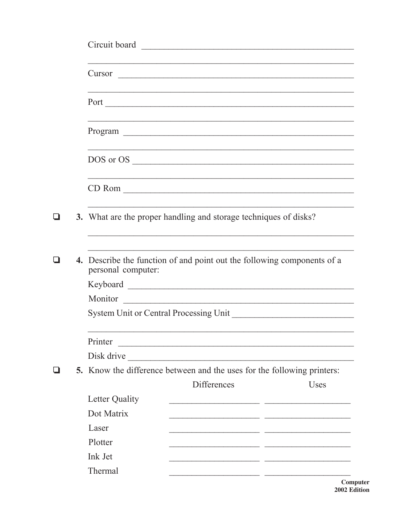|     | Circuit board                                                                                 |                                                                                                                       |      |
|-----|-----------------------------------------------------------------------------------------------|-----------------------------------------------------------------------------------------------------------------------|------|
|     |                                                                                               |                                                                                                                       |      |
|     |                                                                                               |                                                                                                                       |      |
|     |                                                                                               |                                                                                                                       |      |
|     |                                                                                               |                                                                                                                       |      |
|     |                                                                                               |                                                                                                                       |      |
| l I | 3. What are the proper handling and storage techniques of disks?                              |                                                                                                                       |      |
|     | 4. Describe the function of and point out the following components of a<br>personal computer: |                                                                                                                       |      |
|     | Keyboard                                                                                      |                                                                                                                       |      |
|     | Monitor                                                                                       |                                                                                                                       |      |
|     |                                                                                               |                                                                                                                       |      |
|     | Printer                                                                                       |                                                                                                                       |      |
|     | Disk drive                                                                                    | <u> 1989 - Johann John Stone, mars eta bainar eta mondo eta erresta eta erresta eta erresta eta erresta eta erres</u> |      |
| ப   | 5. Know the difference between and the uses for the following printers:                       |                                                                                                                       |      |
|     |                                                                                               | <b>Differences</b>                                                                                                    | Uses |
|     | Letter Quality                                                                                |                                                                                                                       |      |
|     | Dot Matrix                                                                                    |                                                                                                                       |      |
|     | Laser                                                                                         |                                                                                                                       |      |
|     | Plotter                                                                                       |                                                                                                                       |      |
|     | Ink Jet                                                                                       |                                                                                                                       |      |
|     | Thermal                                                                                       |                                                                                                                       |      |

Computer 2002 Edition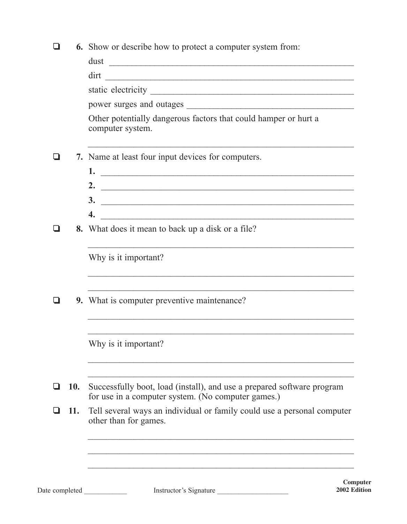|  |  | <b>6.</b> Show or describe how to protect a computer system from: |  |  |  |  |
|--|--|-------------------------------------------------------------------|--|--|--|--|
|  |  |                                                                   |  |  |  |  |

| dirt<br>Other potentially dangerous factors that could hamper or hurt a<br>computer system.<br>7. Name at least four input devices for computers.<br>2. $\qquad \qquad$<br>4.<br>8. What does it mean to back up a disk or a file?<br>Why is it important? |
|------------------------------------------------------------------------------------------------------------------------------------------------------------------------------------------------------------------------------------------------------------|
|                                                                                                                                                                                                                                                            |
|                                                                                                                                                                                                                                                            |
|                                                                                                                                                                                                                                                            |
|                                                                                                                                                                                                                                                            |
|                                                                                                                                                                                                                                                            |
|                                                                                                                                                                                                                                                            |
|                                                                                                                                                                                                                                                            |
|                                                                                                                                                                                                                                                            |
|                                                                                                                                                                                                                                                            |
|                                                                                                                                                                                                                                                            |
|                                                                                                                                                                                                                                                            |
| 9. What is computer preventive maintenance?                                                                                                                                                                                                                |
| Why is it important?                                                                                                                                                                                                                                       |
| Successfully boot, load (install), and use a prepared software program<br>for use in a computer system. (No computer games.)                                                                                                                               |
| Tell several ways an individual or family could use a personal computer<br>other than for games.                                                                                                                                                           |
|                                                                                                                                                                                                                                                            |

Date completed \_\_\_\_\_\_\_\_\_\_\_\_ Instructor's Signature \_\_\_\_\_\_\_\_\_\_\_\_\_\_\_\_\_\_\_\_

**Computer 2002 Edition**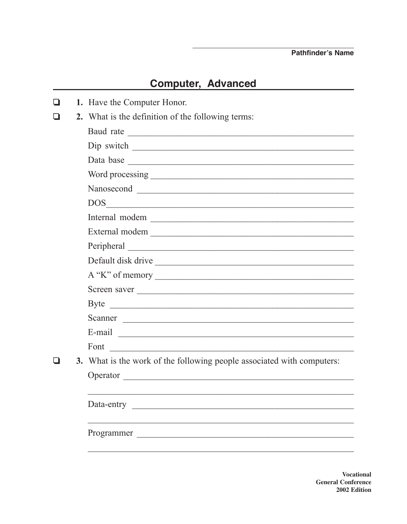## **Computer, Advanced**

|  | 1. Have the Computer Honor.                                            |  |  |  |  |  |
|--|------------------------------------------------------------------------|--|--|--|--|--|
|  | 2. What is the definition of the following terms:                      |  |  |  |  |  |
|  |                                                                        |  |  |  |  |  |
|  |                                                                        |  |  |  |  |  |
|  |                                                                        |  |  |  |  |  |
|  |                                                                        |  |  |  |  |  |
|  |                                                                        |  |  |  |  |  |
|  | DOS                                                                    |  |  |  |  |  |
|  | Internal modem                                                         |  |  |  |  |  |
|  | External modem                                                         |  |  |  |  |  |
|  |                                                                        |  |  |  |  |  |
|  | Default disk drive                                                     |  |  |  |  |  |
|  | $A''K''$ of memory $\_\_$                                              |  |  |  |  |  |
|  | Screen saver                                                           |  |  |  |  |  |
|  |                                                                        |  |  |  |  |  |
|  |                                                                        |  |  |  |  |  |
|  |                                                                        |  |  |  |  |  |
|  | Font                                                                   |  |  |  |  |  |
|  | 3. What is the work of the following people associated with computers: |  |  |  |  |  |
|  | Operator                                                               |  |  |  |  |  |
|  |                                                                        |  |  |  |  |  |
|  | Data-entry                                                             |  |  |  |  |  |
|  |                                                                        |  |  |  |  |  |
|  | Programmer                                                             |  |  |  |  |  |
|  |                                                                        |  |  |  |  |  |

**Vocational General Conference** 2002 Edition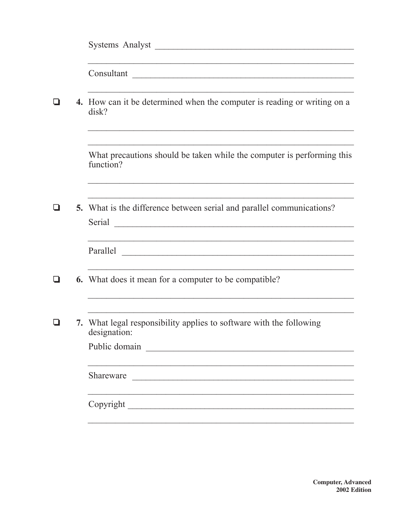|   | Systems Analyst                                                                                                                                                                                                                                                                                         |
|---|---------------------------------------------------------------------------------------------------------------------------------------------------------------------------------------------------------------------------------------------------------------------------------------------------------|
|   |                                                                                                                                                                                                                                                                                                         |
|   | 4. How can it be determined when the computer is reading or writing on a<br>disk?                                                                                                                                                                                                                       |
|   | What precautions should be taken while the computer is performing this<br>function?                                                                                                                                                                                                                     |
| ப | 5. What is the difference between serial and parallel communications?<br>Serial contraction of the contract of the contract of the contract of the contract of the contract of the contract of the contract of the contract of the contract of the contract of the contract of the contract of the cont |
|   | <u> 1989 - Johann Harry Harry Harry Harry Harry Harry Harry Harry Harry Harry Harry Harry Harry Harry Harry Harry</u>                                                                                                                                                                                   |
| ப | 6. What does it mean for a computer to be compatible?                                                                                                                                                                                                                                                   |
|   | 7. What legal responsibility applies to software with the following<br>designation:                                                                                                                                                                                                                     |
|   | Shareware                                                                                                                                                                                                                                                                                               |
|   |                                                                                                                                                                                                                                                                                                         |

**Computer, Advanced** 2002 Edition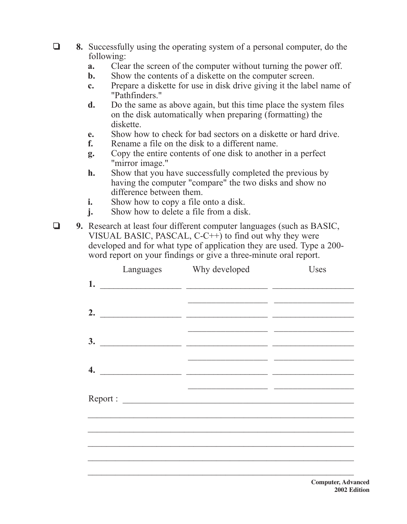- ❏ **8.** Successfully using the operating system of a personal computer, do the following:
	- **a.** Clear the screen of the computer without turning the power off.
	- **b.** Show the contents of a diskette on the computer screen.
	- **c.** Prepare a diskette for use in disk drive giving it the label name of "Pathfinders."
	- **d.** Do the same as above again, but this time place the system files on the disk automatically when preparing (formatting) the diskette.
	- **e.** Show how to check for bad sectors on a diskette or hard drive.
	- **f.** Rename a file on the disk to a different name.
	- **g.** Copy the entire contents of one disk to another in a perfect "mirror image."
	- **h.** Show that you have successfully completed the previous by having the computer "compare" the two disks and show no difference between them.
	- **i.** Show how to copy a file onto a disk.
	- **j.** Show how to delete a file from a disk.
- ❏ **9.** Research at least four different computer languages (such as BASIC, VISUAL BASIC, PASCAL, C-C++) to find out why they were developed and for what type of application they are used. Type a 200 word report on your findings or give a three-minute oral report.

| Languages | Why developed                                                                                                                                                                                                                                                                                                                                                                                                                                                            | Uses |
|-----------|--------------------------------------------------------------------------------------------------------------------------------------------------------------------------------------------------------------------------------------------------------------------------------------------------------------------------------------------------------------------------------------------------------------------------------------------------------------------------|------|
|           | 1. $\qquad \qquad$                                                                                                                                                                                                                                                                                                                                                                                                                                                       |      |
|           | 2. $\qquad \qquad$                                                                                                                                                                                                                                                                                                                                                                                                                                                       |      |
|           |                                                                                                                                                                                                                                                                                                                                                                                                                                                                          |      |
|           | 4. $\overline{\phantom{a}}$ $\overline{\phantom{a}}$ $\overline{\phantom{a}}$ $\overline{\phantom{a}}$ $\overline{\phantom{a}}$ $\overline{\phantom{a}}$ $\overline{\phantom{a}}$ $\overline{\phantom{a}}$ $\overline{\phantom{a}}$ $\overline{\phantom{a}}$ $\overline{\phantom{a}}$ $\overline{\phantom{a}}$ $\overline{\phantom{a}}$ $\overline{\phantom{a}}$ $\overline{\phantom{a}}$ $\overline{\phantom{a}}$ $\overline{\phantom{a}}$ $\overline{\phantom{a}}$ $\$ |      |
|           |                                                                                                                                                                                                                                                                                                                                                                                                                                                                          |      |
|           |                                                                                                                                                                                                                                                                                                                                                                                                                                                                          |      |
|           |                                                                                                                                                                                                                                                                                                                                                                                                                                                                          |      |
|           |                                                                                                                                                                                                                                                                                                                                                                                                                                                                          |      |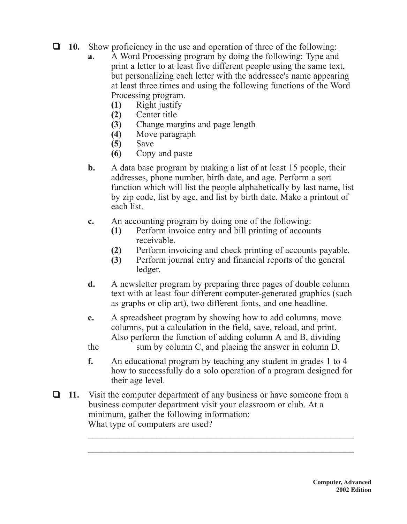- ❏ **10.** Show proficiency in the use and operation of three of the following:
	- **a.** A Word Processing program by doing the following: Type and print a letter to at least five different people using the same text, but personalizing each letter with the addressee's name appearing at least three times and using the following functions of the Word Processing program.
		- **(1)** Right justify
		- **(2)** Center title
		- **(3)** Change margins and page length
		- **(4)** Move paragraph
		- **(5)** Save
		- **(6)** Copy and paste
	- **b.** A data base program by making a list of at least 15 people, their addresses, phone number, birth date, and age. Perform a sort function which will list the people alphabetically by last name, list by zip code, list by age, and list by birth date. Make a printout of each list.
	- **c.** An accounting program by doing one of the following:
		- **(1)** Perform invoice entry and bill printing of accounts receivable.
		- **(2)** Perform invoicing and check printing of accounts payable.
		- **(3)** Perform journal entry and financial reports of the general ledger.
	- **d.** A newsletter program by preparing three pages of double column text with at least four different computer-generated graphics (such as graphs or clip art), two different fonts, and one headline.
	- **e.** A spreadsheet program by showing how to add columns, move columns, put a calculation in the field, save, reload, and print. Also perform the function of adding column A and B, dividing
	- the sum by column C, and placing the answer in column D.
	- **f.** An educational program by teaching any student in grades 1 to 4 how to successfully do a solo operation of a program designed for their age level.
- ❏ **11.** Visit the computer department of any business or have someone from a business computer department visit your classroom or club. At a minimum, gather the following information: What type of computers are used?  $\mathcal{L}_\text{max}$  and  $\mathcal{L}_\text{max}$  and  $\mathcal{L}_\text{max}$  and  $\mathcal{L}_\text{max}$  and  $\mathcal{L}_\text{max}$  and  $\mathcal{L}_\text{max}$